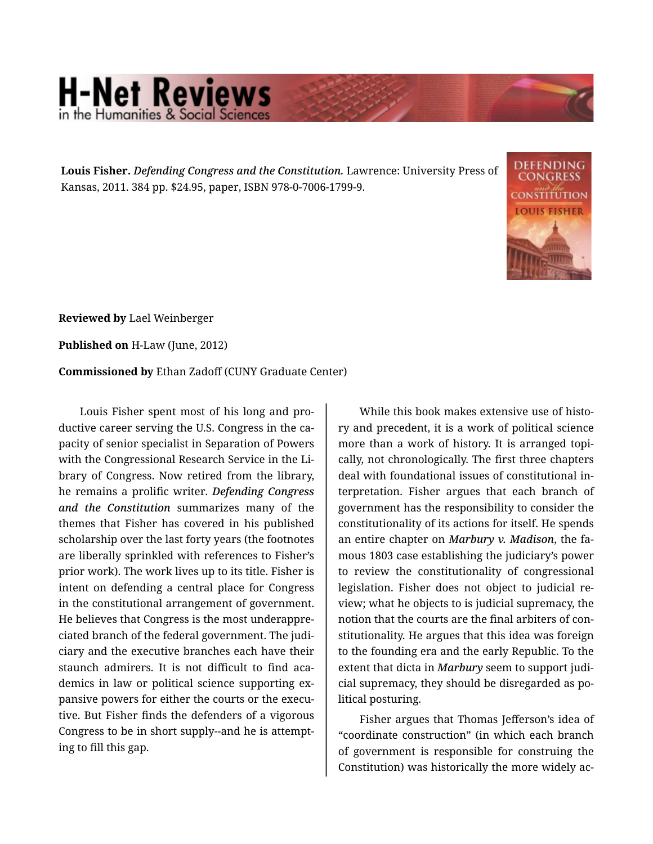## **H-Net Reviews**

**Louis Fisher.** *Defending Congress and the Constitution.* Lawrence: University Press of Kansas, 2011. 384 pp. \$24.95, paper, ISBN 978-0-7006-1799-9.



**Reviewed by** Lael Weinberger

**Published on** H-Law (June, 2012)

**Commissioned by** Ethan Zadoff (CUNY Graduate Center)

Louis Fisher spent most of his long and pro‐ ductive career serving the U.S. Congress in the ca‐ pacity of senior specialist in Separation of Powers with the Congressional Research Service in the Li‐ brary of Congress. Now retired from the library, he remains a prolific writer. *Defending Congress and the Constitution* summarizes many of the themes that Fisher has covered in his published scholarship over the last forty years (the footnotes are liberally sprinkled with references to Fisher's prior work). The work lives up to its title. Fisher is intent on defending a central place for Congress in the constitutional arrangement of government. He believes that Congress is the most underappre‐ ciated branch of the federal government. The judi‐ ciary and the executive branches each have their staunch admirers. It is not difficult to find aca‐ demics in law or political science supporting ex‐ pansive powers for either the courts or the execu‐ tive. But Fisher finds the defenders of a vigorous Congress to be in short supply--and he is attempt‐ ing to fill this gap.

While this book makes extensive use of history and precedent, it is a work of political science more than a work of history. It is arranged topi‐ cally, not chronologically. The first three chapters deal with foundational issues of constitutional in‐ terpretation. Fisher argues that each branch of government has the responsibility to consider the constitutionality of its actions for itself. He spends an entire chapter on *Marbury v. Madison*, the fa‐ mous 1803 case establishing the judiciary's power to review the constitutionality of congressional legislation. Fisher does not object to judicial re‐ view; what he objects to is judicial supremacy, the notion that the courts are the final arbiters of con‐ stitutionality. He argues that this idea was foreign to the founding era and the early Republic. To the extent that dicta in *Marbury* seem to support judi‐ cial supremacy, they should be disregarded as po‐ litical posturing.

Fisher argues that Thomas Jefferson's idea of "coordinate construction" (in which each branch of government is responsible for construing the Constitution) was historically the more widely ac‐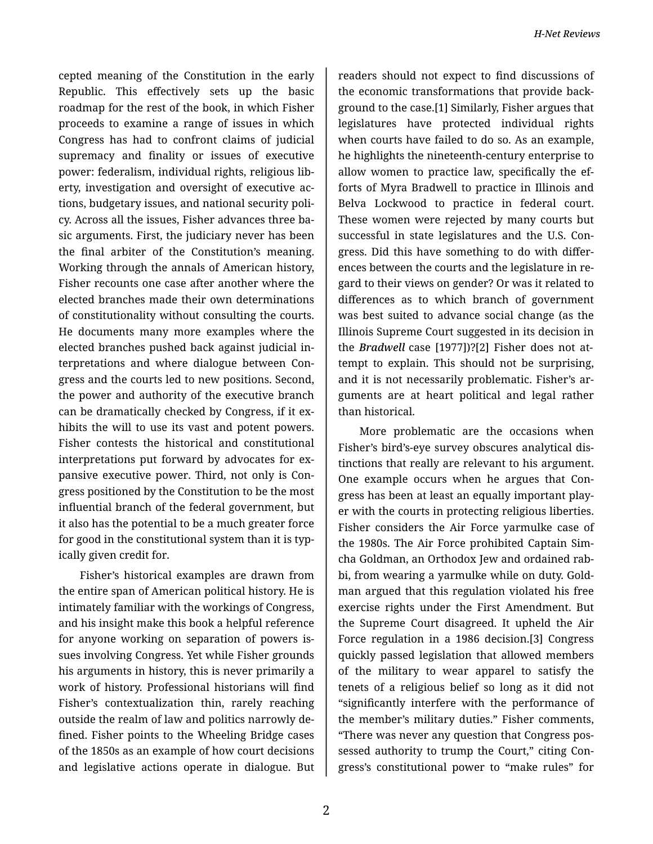cepted meaning of the Constitution in the early Republic. This effectively sets up the basic roadmap for the rest of the book, in which Fisher proceeds to examine a range of issues in which Congress has had to confront claims of judicial supremacy and finality or issues of executive power: federalism, individual rights, religious lib‐ erty, investigation and oversight of executive ac‐ tions, budgetary issues, and national security poli‐ cy. Across all the issues, Fisher advances three ba‐ sic arguments. First, the judiciary never has been the final arbiter of the Constitution's meaning. Working through the annals of American history, Fisher recounts one case after another where the elected branches made their own determinations of constitutionality without consulting the courts. He documents many more examples where the elected branches pushed back against judicial in‐ terpretations and where dialogue between Con‐ gress and the courts led to new positions. Second, the power and authority of the executive branch can be dramatically checked by Congress, if it ex‐ hibits the will to use its vast and potent powers. Fisher contests the historical and constitutional interpretations put forward by advocates for expansive executive power. Third, not only is Con‐ gress positioned by the Constitution to be the most influential branch of the federal government, but it also has the potential to be a much greater force for good in the constitutional system than it is typ‐ ically given credit for.

Fisher's historical examples are drawn from the entire span of American political history. He is intimately familiar with the workings of Congress, and his insight make this book a helpful reference for anyone working on separation of powers is‐ sues involving Congress. Yet while Fisher grounds his arguments in history, this is never primarily a work of history. Professional historians will find Fisher's contextualization thin, rarely reaching outside the realm of law and politics narrowly de‐ fined. Fisher points to the Wheeling Bridge cases of the 1850s as an example of how court decisions and legislative actions operate in dialogue. But

readers should not expect to find discussions of the economic transformations that provide back‐ ground to the case.[1] Similarly, Fisher argues that legislatures have protected individual rights when courts have failed to do so. As an example, he highlights the nineteenth-century enterprise to allow women to practice law, specifically the ef‐ forts of Myra Bradwell to practice in Illinois and Belva Lockwood to practice in federal court. These women were rejected by many courts but successful in state legislatures and the U.S. Con‐ gress. Did this have something to do with differ‐ ences between the courts and the legislature in re‐ gard to their views on gender? Or was it related to differences as to which branch of government was best suited to advance social change (as the Illinois Supreme Court suggested in its decision in the *Bradwell* case [1977])?[2] Fisher does not at‐ tempt to explain. This should not be surprising, and it is not necessarily problematic. Fisher's ar‐ guments are at heart political and legal rather than historical.

More problematic are the occasions when Fisher's bird's-eye survey obscures analytical dis‐ tinctions that really are relevant to his argument. One example occurs when he argues that Con‐ gress has been at least an equally important play‐ er with the courts in protecting religious liberties. Fisher considers the Air Force yarmulke case of the 1980s. The Air Force prohibited Captain Sim‐ cha Goldman, an Orthodox Jew and ordained rab‐ bi, from wearing a yarmulke while on duty. Gold‐ man argued that this regulation violated his free exercise rights under the First Amendment. But the Supreme Court disagreed. It upheld the Air Force regulation in a 1986 decision.[3] Congress quickly passed legislation that allowed members of the military to wear apparel to satisfy the tenets of a religious belief so long as it did not "significantly interfere with the performance of the member's military duties." Fisher comments, "There was never any question that Congress pos‐ sessed authority to trump the Court," citing Congress's constitutional power to "make rules" for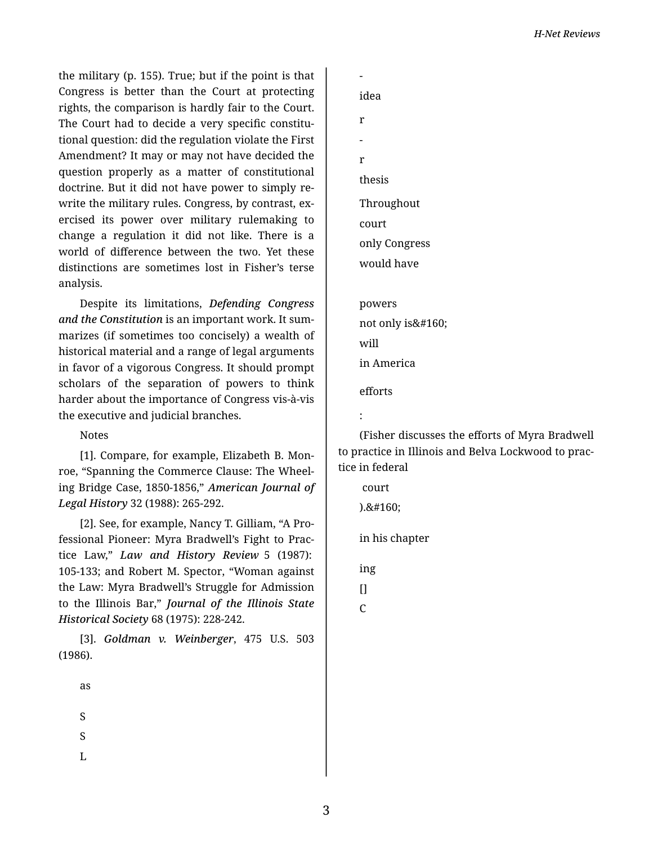the military (p. 155). True; but if the point is that Congress is better than the Court at protecting rights, the comparison is hardly fair to the Court. The Court had to decide a very specific constitutional question: did the regulation violate the First Amendment? It may or may not have decided the question properly as a matter of constitutional doctrine. But it did not have power to simply re‐ write the military rules. Congress, by contrast, ex‐ ercised its power over military rulemaking to change a regulation it did not like. There is a world of difference between the two. Yet these distinctions are sometimes lost in Fisher's terse analysis.

Despite its limitations, *Defending Congress and the Constitution* is an important work. It sum‐ marizes (if sometimes too concisely) a wealth of historical material and a range of legal arguments in favor of a vigorous Congress. It should prompt scholars of the separation of powers to think harder about the importance of Congress vis-à-vis the executive and judicial branches.

## Notes

[1]. Compare, for example, Elizabeth B. Mon‐ roe, "Spanning the Commerce Clause: The Wheel‐ ing Bridge Case, 1850-1856," *American Journal of Legal History* 32 (1988): 265-292.

[2]. See, for example, Nancy T. Gilliam, "A Pro‐ fessional Pioneer: Myra Bradwell's Fight to Prac‐ tice Law," *Law and History Review* 5 (1987): 105-133; and Robert M. Spector, "Woman against the Law: Myra Bradwell's Struggle for Admission to the Illinois Bar," *Journal of the Illinois State Historical Society* 68 (1975): 228-242.

[3]. *Goldman v. Weinberger*, 475 U.S. 503 (1986).

as

S

S

L

 idea

- r
- -
- r

thesis

Throughout

court

only Congress

would have

powers not only is will in America

efforts

```
:
```
(Fisher discusses the efforts of Myra Bradwell to practice in Illinois and Belva Lockwood to prac‐ tice in federal

court  $).8#160;$ 

in his chapter

ing

 $\prod$ 

 $\mathcal{C}$